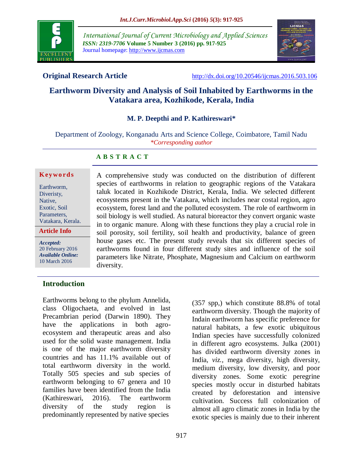

*International Journal of Current Microbiology and Applied Sciences ISSN: 2319-7706* **Volume 5 Number 3 (2016) pp. 917-925** Journal homepage: http://www.ijcmas.com



**Original Research Article** <http://dx.doi.org/10.20546/ijcmas.2016.503.106>

# **Earthworm Diversity and Analysis of Soil Inhabited by Earthworms in the Vatakara area, Kozhikode, Kerala, India**

#### **M. P. Deepthi and P. Kathireswari\***

Department of Zoology, Konganadu Arts and Science College, Coimbatore, Tamil Nadu *\*Corresponding author*

#### **A B S T R A C T**

#### **K ey w o rd s**

Earthworm, Diveristy, Native, Exotic, Soil Parameters, Vatakara, Kerala.

*Accepted:*  20 February 2016 *Available Online:* 10 March 2016

**Article Info**

ecosystems present in the Vatakara, which includes near costal region, agro ecosystem, forest land and the polluted ecosystem. The role of earthworm in soil biology is well studied. As natural bioreactor they convert organic waste in to organic manure. Along with these functions they play a crucial role in soil porosity, soil fertility, soil health and productivity, balance of green house gases etc. The present study reveals that six different species of earthworms found in four different study sites and influence of the soil parameters like Nitrate, Phosphate, Magnesium and Calcium on earthworm diversity.

A comprehensive study was conducted on the distribution of different species of earthworms in relation to geographic regions of the Vatakara taluk located in Kozhikode District, Kerala, India. We selected different

# **Introduction**

Earthworms belong to the phylum Annelida, class Oligochaeta, and evolved in last Precambrian period (Darwin 1890). They have the applications in both agroecosystem and therapeutic areas and also used for the solid waste management. India is one of the major earthworm diversity countries and has 11.1% available out of total earthworm diversity in the world. Totally 505 species and sub species of earthworm belonging to 67 genera and 10 families have been identified from the India (Kathireswari, 2016). The earthworm diversity of the study region is predominantly represented by native species

(357 spp,) which constitute 88.8% of total earthworm diversity. Though the majority of Indain earthworm has specific preference for natural habitats, a few exotic ubiquitous Indian species have successfully colonized in different agro ecosystems. Julka (2001) has divided earthworm diversity zones in India, *viz.,* mega diversity, high diversity, medium diversity, low diversity, and poor diversity zones. Some exotic peregrine species mostly occur in disturbed habitats created by deforestation and intensive cultivation. Success full colonization of almost all agro climatic zones in India by the exotic species is mainly due to their inherent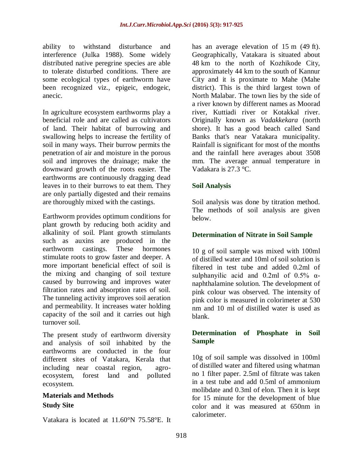ability to withstand disturbance and interference (Julka 1988). Some widely distributed native peregrine species are able to tolerate disturbed conditions. There are some ecological types of earthworm have been recognized viz., epigeic, endogeic, anecic.

In agriculture ecosystem earthworms play a beneficial role and are called as cultivators of land. Their habitat of burrowing and swallowing helps to increase the fertility of soil in many ways. Their burrow permits the penetration of air and moisture in the porous soil and improves the drainage; make the downward growth of the roots easier. The earthworms are continuously dragging dead leaves in to their burrows to eat them. They are only partially digested and their remains are thoroughly mixed with the castings.

Earthworm provides optimum conditions for plant growth by reducing both acidity and alkalinity of soil. Plant growth stimulants such as auxins are produced in the earthworm castings. These hormones stimulate roots to grow faster and deeper. A more important beneficial effect of soil is the mixing and changing of soil texture caused by burrowing and improves water filtration rates and absorption rates of soil. The tunneling activity improves soil aeration and permeability. It increases water holding capacity of the soil and it carries out high turnover soil.

The present study of earthworm diversity and analysis of soil inhabited by the earthworms are conducted in the four different sites of Vatakara, Kerala that including near coastal region, agroecosystem, forest land and polluted ecosystem.

# **Materials and Methods Study Site**

Vatakara is located at [11.60°N 75.58°E.](https://tools.wmflabs.org/geohack/geohack.php?pagename=Vatakara¶ms=11.60_N_75.58_E_) It

has an average elevation of 15 m (49 ft). Geographically, Vatakara is situated about 48 km to the north of [Kozhikode](https://en.wikipedia.org/wiki/Kozhikode) City, approximately 44 km to the south of [Kannur](https://en.wikipedia.org/wiki/Kannur) City and it is proximate to [Mahe](https://en.wikipedia.org/wiki/Mah%C3%A9,_India) [\(Mahe](https://en.wikipedia.org/wiki/Mahe_district)  [district\)](https://en.wikipedia.org/wiki/Mahe_district). This is the third largest town of [North Malabar.](https://en.wikipedia.org/wiki/North_Malabar) The town lies by the side of a river known by different names as Moorad river, Kuttiadi river or Kotakkal river. Originally known as *Vadakkekara* (north shore). It has a good beach called Sand Banks that's near Vatakara municipality. Rainfall is significant for most of the months and the rainfall here averages about 3508 mm. The average annual temperature in Vadakara is 27.3 °C.

### **Soil Analysis**

Soil analysis was done by titration method. The methods of soil analysis are given below.

## **Determination of Nitrate in Soil Sample**

10 g of soil sample was mixed with 100ml of distilled water and 10ml of soil solution is filtered in test tube and added 0.2ml of sulphanyilic acid and  $0.2$ ml of  $0.5\%$   $\alpha$ naphthalamine solution. The development of pink colour was observed. The intensity of pink color is measured in colorimeter at 530 nm and 10 ml of distilled water is used as blank.

#### **Determination of Phosphate in Soil Sample**

10g of soil sample was dissolved in 100ml of distilled water and filtered using whatman no 1 filter paper. 2.5ml of filtrate was taken in a test tube and add 0.5ml of ammonium molibdate and 0.3ml of elon. Then it is kept for 15 minute for the development of blue color and it was measured at 650nm in calorimeter.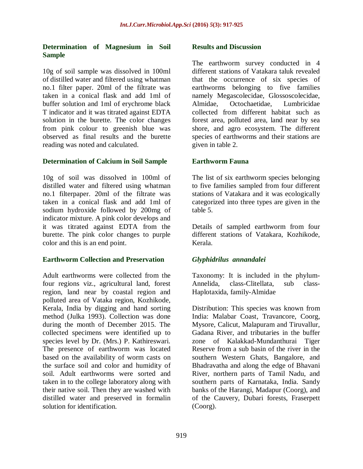### **Determination of Magnesium in Soil Sample**

10g of soil sample was dissolved in 100ml of distilled water and filtered using whatman no.1 filter paper. 20ml of the filtrate was taken in a conical flask and add 1ml of buffer solution and 1ml of erychrome black T indicator and it was titrated against EDTA solution in the burette. The color changes from pink colour to greenish blue was observed as final results and the burette reading was noted and calculated.

#### **Determination of Calcium in Soil Sample**

10g of soil was dissolved in 100ml of distilled water and filtered using whatman no.1 filterpaper. 20ml of the filtrate was taken in a conical flask and add 1ml of sodium hydroxide followed by 200mg of indicator mixture. A pink color develops and it was titrated against EDTA from the burette. The pink color changes to purple color and this is an end point.

#### **Earthworm Collection and Preservation**

Adult earthworms were collected from the four regions viz., agricultural land, forest region, land near by coastal region and polluted area of Vataka region, Kozhikode, Kerala, India by digging and hand sorting method (Julka 1993). Collection was done during the month of December 2015. The collected specimens were identified up to species level by Dr. (Mrs.) P. Kathireswari. The presence of earthworm was located based on the availability of worm casts on the surface soil and color and humidity of soil. Adult earthworms were sorted and taken in to the college laboratory along with their native soil. Then they are washed with distilled water and preserved in formalin solution for identification.

#### **Results and Discussion**

The earthworm survey conducted in 4 different stations of Vatakara taluk revealed that the occurrence of six species of earthworms belonging to five families namely Megascolecidae, Glossoscolecidae, Almidae, Octochaetidae, Lumbricidae collected from different habitat such as forest area, polluted area, land near by sea shore, and agro ecosystem. The different species of earthworms and their stations are given in table 2.

#### **Earthworm Fauna**

The list of six earthworm species belonging to five families sampled from four different stations of Vatakara and it was ecologically categorized into three types are given in the table 5.

Details of sampled earthworm from four different stations of Vatakara, Kozhikode, Kerala.

#### *Glyphidrilus annandalei*

Taxonomy: It is included in the phylum-Annelida, class-Clitellata, sub class-Haplotaxida, family-Almidae

Distribution: This species was known from India: Malabar Coast, Travancore, Coorg, Mysore, Calicut, Malapuram and Tiruvallur, Gadana River, and tributaries in the buffer zone of Kalakkad-Mundanthurai Tiger Reserve from a sub basin of the river in the southern Western Ghats, Bangalore, and Bhadravatha and along the edge of Bhavani River, northern parts of Tamil Nadu, and southern parts of Karnataka, India. Sandy banks of the Harangi, Madapur (Coorg), and of the Cauvery, Dubari forests, Fraserpett (Coorg).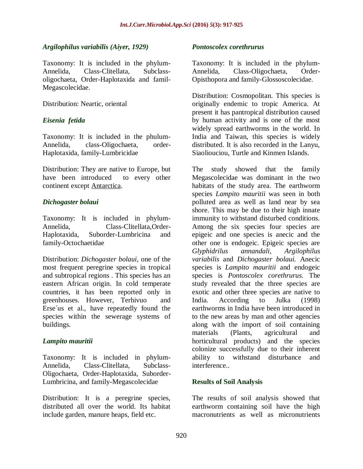#### *Argilophilus variabilis (Aiyer, 1929)*

Taxonomy: It is included in the phylum-Annelida, Class-Clitellata, Subclassoligochaeta, Order-Haplotaxida and famil-Megascolecidae.

Distribution: Neartic, oriental

#### *Eisenia fetida*

Taxonomy: It is included in the phulum-Annelida, class-Oligochaeta, order-Haplotaxida, family-Lumbricidae

Distribution: They are native to Europe, but have been introduced to every other continent except [Antarctica.](https://en.wikipedia.org/wiki/Antarctica)

#### *Dichogaster bolaui*

Taxonomy: It is included in phylum-Annelida, Class-Clitellata,Order-Haplotaxida, Suborder-Lumbricina and family-Octochaetidae

Distribution: *Dichogaster bolaui*, one of the most frequent peregrine species in tropical and subtropical regions . This species has an eastern African origin. In cold temperate countries, it has been reported only in greenhouses. However, Terhivuo and Erse´us et al., have repeatedly found the species within the sewerage systems of buildings.

#### *Lampito mauritii*

Taxonomy: It is included in phylum-Annelida, Class-Clitellata, Subclass-Oligochaeta, Order-Haplotaxida, Suborder-Lumbricina, and family-Megascolecidae

Distribution: It is a peregrine species, distributed all over the world. Its habitat include garden, manure heaps, field etc.

#### *Pontoscolex corethrurus*

Taxonomy: It is included in the phylum-Annelida, Class-Oligochaeta, Order-Opisthopora and family-Glossoscolecidae.

Distribution: Cosmopolitan. This species is originally endemic to tropic America. At present it has pantropical distribution caused by human activity and is one of the most widely spread earthworms in the world. In India and Taiwan, this species is widely distributed. It is also recorded in the Lanyu, Siaoliouciou, Turtle and Kinmen Islands.

The study showed that the family Megascolecidae was dominant in the two habitats of the study area. The earthworm species *Lampito mauritii* was seen in both polluted area as well as land near by sea shore. This may be due to their high innate immunity to withstand disturbed conditions. Among the six species four species are epigeic and one species is anecic and the other one is endogeic. Epigeic species are<br>Glyphidrilus annandali, Argilophilus *Glyphidrilus annandali, Argilophilus variabilis* and *Dichogaster bolaui.* Anecic species is *Lampito mauritii* and endogeic species is *Pontoscolex corethrurus.* The study revealed that the three species are exotic and other three species are native to India. According to Julka (1998) earthworms in India have been introduced in to the new areas by man and other agencies along with the import of soil containing materials (Plants, agricultural and horticultural products) and the species colonize successfully due to their inherent ability to withstand disturbance and interference..

#### **Results of Soil Analysis**

The results of soil analysis showed that earthworm containing soil have the high macronutrients as well as micronutrients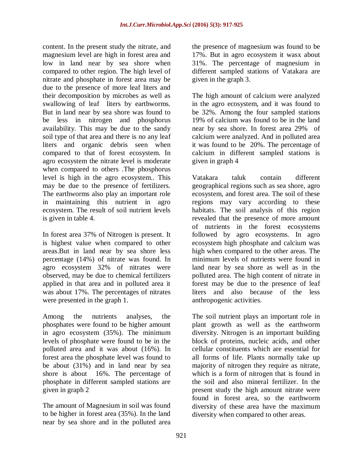content. In the present study the nitrate, and magnesium level are high in forest area and low in land near by sea shore when compared to other region. The high level of nitrate and phosphate in forest area may be due to the presence of more leaf liters and their decomposition by microbes as well as swallowing of leaf liters by earthworms. But in land near by sea shore was found to be less in nitrogen and phosphorus availability. This may be due to the sandy soil type of that area and there is no any leaf liters and organic debris seen when compared to that of forest ecosystem. In agro ecosystem the nitrate level is moderate when compared to others .The phosphorus level is high in the agro ecosystem.. This may be due to the presence of fertilizers. The earthworms also play an important role in maintaining this nutrient in agro ecosystem. The result of soil nutrient levels is given in table 4.

In forest area 37% of Nitrogen is present. It is highest value when compared to other areas.But in land near by sea shore less percentage (14%) of nitrate was found. In agro ecosystem 32% of nitrates were observed, may be due to chemical fertilizers applied in that area and in polluted area it was about 17%. The percentages of nitrates were presented in the graph 1.

Among the nutrients analyses, the phosphates were found to be higher amount in agro ecosystem (35%). The minimum levels of phosphate were found to be in the polluted area and it was about (16%). In forest area the phosphate level was found to be about (31%) and in land near by sea shore is about 16%. The percentage of phosphate in different sampled stations are given in graph 2

The amount of Magnesium in soil was found to be higher in forest area (35%). In the land near by sea shore and in the polluted area the presence of magnesium was found to be 17%. But in agro ecosystem it wasx about 31%. The percentage of magnesium in different sampled stations of Vatakara are given in the graph 3.

The high amount of calcium were analyzed in the agro ecosystem, and it was found to be 32%. Among the four sampled stations 19% of calcium was found to be in the land near by sea shore. In forest area 29% of calcium were analyzed. And in polluted area it was found to be 20%. The percentage of calcium in different sampled stations is given in graph 4

Vatakara taluk contain different geographical regions such as sea shore, agro ecosystem, and forest area. The soil of these regions may vary according to these habitats. The soil analysis of this region revealed that the presence of more amount of nutrients in the forest ecosystems followed by agro ecosystems. In agro ecosystem high phosphate and calcium was high when compared to the other areas. The minimum levels of nutrients were found in land near by sea shore as well as in the polluted area. The high content of nitrate in forest may be due to the presence of leaf liters and also because of the less anthropogenic activities.

The soil nutrient plays an important role in plant growth as well as the earthworm diversity. Nitrogen is an important building block of proteins, nucleic acids, and other cellular constituents which are essential for all forms of life. Plants normally take up majority of nitrogen they require as nitrate, which is a form of nitrogen that is found in the soil and also mineral fertilizer. In the present study the high amount nitrate were found in forest area, so the earthworm diversity of these area have the maximum diversity when compared to other areas.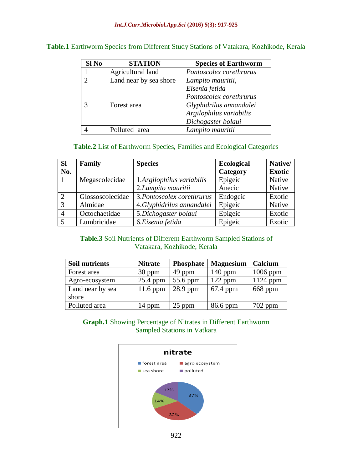#### *Int.J.Curr.Microbiol.App.Sci* **(2016)** *5***(3): 917-925**

| Sl No         | <b>STATION</b>         | <b>Species of Earthworm</b> |
|---------------|------------------------|-----------------------------|
|               | Agricultural land      | Pontoscolex corethrurus     |
| $\mathcal{D}$ | Land near by sea shore | Lampito mauritii,           |
|               |                        | Eisenia fetida              |
|               |                        | Pontoscolex corethrurus     |
|               | Forest area            | Glyphidrilus annandalei     |
|               |                        | Argilophilus variabilis     |
|               |                        | Dichogaster bolaui          |
|               | Polluted area          | Lampito mauritii            |

#### **Table.1** Earthworm Species from Different Study Stations of Vatakara, Kozhikode, Kerala

### **Table.2** List of Earthworm Species, Families and Ecological Categories

| <b>Sl</b>     | Family           | <b>Species</b>             | <b>Ecological</b> | Native/       |
|---------------|------------------|----------------------------|-------------------|---------------|
| No.           |                  |                            | Category          | <b>Exotic</b> |
|               | Megascolecidae   | 1.Argilophilus variabilis  | Epigeic           | <b>Native</b> |
|               |                  | 2.Lampito mauritii         | Anecic            | Native        |
| 2             | Glossoscolecidae | 3. Pontoscolex corethrurus | Endogeic          | Exotic        |
| $\mathcal{R}$ | Almidae          | 4.Glyphidrilus annandalei  | Epigeic           | Native        |
|               | Octochaetidae    | 5.Dichogaster bolaui       | Epigeic           | Exotic        |
|               | Lumbricidae      | 6.Eisenia fetida           | Epigeic           | Exotic        |

# **Table.3** Soil Nutrients of Different Earthworm Sampled Stations of Vatakara, Kozhikode, Kerala

| <b>Soil nutrients</b> | <b>Nitrate</b> | <b>Phosphate</b> | <b>Magnesium</b> | Calcium    |
|-----------------------|----------------|------------------|------------------|------------|
| Forest area           | 30 ppm         | 49 ppm           | $140$ ppm        | $1006$ ppm |
| Agro-ecosystem        | 25.4 ppm       | 55.6 ppm         | $122$ ppm        | $1124$ ppm |
| Land near by sea      | $11.6$ ppm     | $28.9$ ppm       | $67.4$ ppm       | 668 ppm    |
| shore                 |                |                  |                  |            |
| Polluted area         | 14 ppm         | 25 ppm           | 86.6 ppm         | 702 ppm    |

## **Graph.1** Showing Percentage of Nitrates in Different Earthworm Sampled Stations in Vatkara

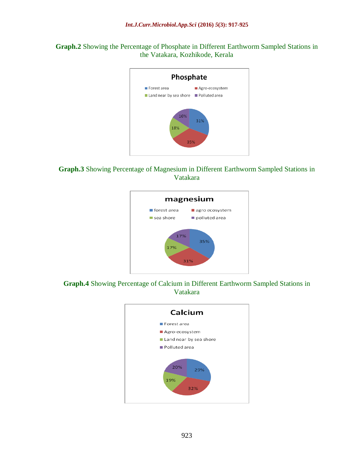**Graph.2** Showing the Percentage of Phosphate in Different Earthworm Sampled Stations in the Vatakara, Kozhikode, Kerala







**Graph.4** Showing Percentage of Calcium in Different Earthworm Sampled Stations in Vatakara

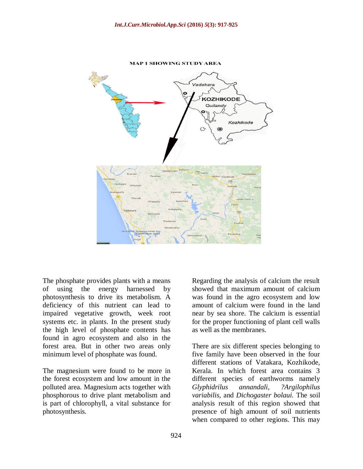

**MAP 1 SHOWING STUDY AREA** 

The phosphate provides plants with a means of using the energy harnessed by photosynthesis to drive its metabolism. A deficiency of this nutrient can lead to impaired vegetative growth, week root systems etc. in plants. In the present study the high level of phosphate contents has found in agro ecosystem and also in the forest area. But in other two areas only minimum level of phosphate was found.

The magnesium were found to be more in the forest ecosystem and low amount in the polluted area. Magnesium acts together with phosphorous to drive plant metabolism and is part of chlorophyll, a vital substance for photosynthesis.

Regarding the analysis of calcium the result showed that maximum amount of calcium was found in the agro ecosystem and low amount of calcium were found in the land near by sea shore. The calcium is essential for the proper functioning of plant cell walls as well as the membranes.

There are six different species belonging to five family have been observed in the four different stations of Vatakara, Kozhikode, Kerala. In which forest area contains 3 different species of earthworms namely *Glyphidrilus annandali, ?Argilophilus variabilis,* and *Dichogaster bolaui.* The soil analysis result of this region showed that presence of high amount of soil nutrients when compared to other regions. This may